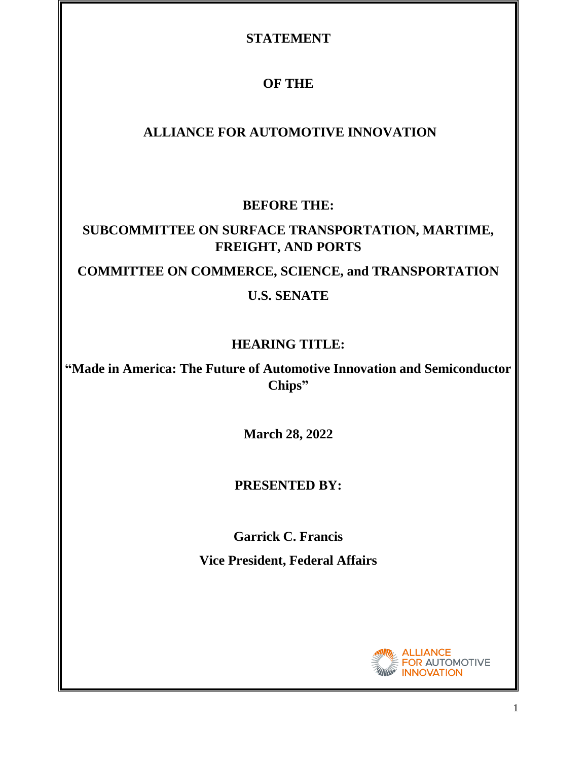## **STATEMENT**

# **OF THE**

# **ALLIANCE FOR AUTOMOTIVE INNOVATION**

## **BEFORE THE:**

# **SUBCOMMITTEE ON SURFACE TRANSPORTATION, MARTIME, FREIGHT, AND PORTS COMMITTEE ON COMMERCE, SCIENCE, and TRANSPORTATION**

## **U.S. SENATE**

# **HEARING TITLE:**

**"Made in America: The Future of Automotive Innovation and Semiconductor Chips"**

**March 28, 2022**

## **PRESENTED BY:**

**Garrick C. Francis**

**Vice President, Federal Affairs**



1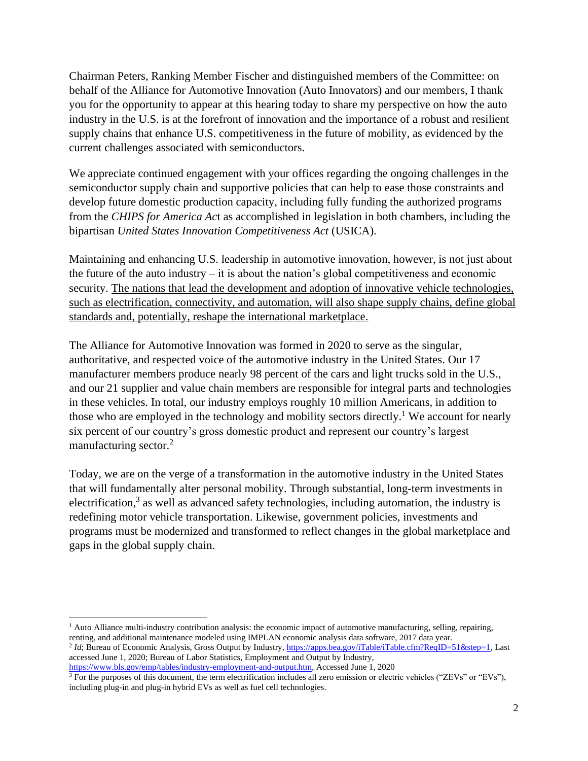Chairman Peters, Ranking Member Fischer and distinguished members of the Committee: on behalf of the Alliance for Automotive Innovation (Auto Innovators) and our members, I thank you for the opportunity to appear at this hearing today to share my perspective on how the auto industry in the U.S. is at the forefront of innovation and the importance of a robust and resilient supply chains that enhance U.S. competitiveness in the future of mobility, as evidenced by the current challenges associated with semiconductors.

We appreciate continued engagement with your offices regarding the ongoing challenges in the semiconductor supply chain and supportive policies that can help to ease those constraints and develop future domestic production capacity, including fully funding the authorized programs from the *CHIPS for America Ac*t as accomplished in legislation in both chambers, including the bipartisan *United States Innovation Competitiveness Act* (USICA).

Maintaining and enhancing U.S. leadership in automotive innovation, however, is not just about the future of the auto industry  $-$  it is about the nation's global competitiveness and economic security. The nations that lead the development and adoption of innovative vehicle technologies, such as electrification, connectivity, and automation, will also shape supply chains, define global standards and, potentially, reshape the international marketplace.

The Alliance for Automotive Innovation was formed in 2020 to serve as the singular, authoritative, and respected voice of the automotive industry in the United States. Our 17 manufacturer members produce nearly 98 percent of the cars and light trucks sold in the U.S., and our 21 supplier and value chain members are responsible for integral parts and technologies in these vehicles. In total, our industry employs roughly 10 million Americans, in addition to those who are employed in the technology and mobility sectors directly.<sup>1</sup> We account for nearly six percent of our country's gross domestic product and represent our country's largest manufacturing sector.<sup>2</sup>

Today, we are on the verge of a transformation in the automotive industry in the United States that will fundamentally alter personal mobility. Through substantial, long-term investments in electrification,<sup>3</sup> as well as advanced safety technologies, including automation, the industry is redefining motor vehicle transportation. Likewise, government policies, investments and programs must be modernized and transformed to reflect changes in the global marketplace and gaps in the global supply chain.

<sup>1</sup> Auto Alliance multi-industry contribution analysis: the economic impact of automotive manufacturing, selling, repairing, renting, and additional maintenance modeled using IMPLAN economic analysis data software, 2017 data year.

[https://www.bls.gov/emp/tables/industry-employment-and-output.htm,](https://www.bls.gov/emp/tables/industry-employment-and-output.htm) Accessed June 1, 2020 <sup>3</sup> For the purposes of this document, the term electrification includes all zero emission or electric vehicles ("ZEVs" or "EVs"),

<sup>&</sup>lt;sup>2</sup> *Id*; Bureau of Economic Analysis, Gross Output by Industry[, https://apps.bea.gov/iTable/iTable.cfm?ReqID=51&step=1,](https://apps.bea.gov/iTable/iTable.cfm?ReqID=51&step=1) Last accessed June 1, 2020; Bureau of Labor Statistics, Employment and Output by Industry,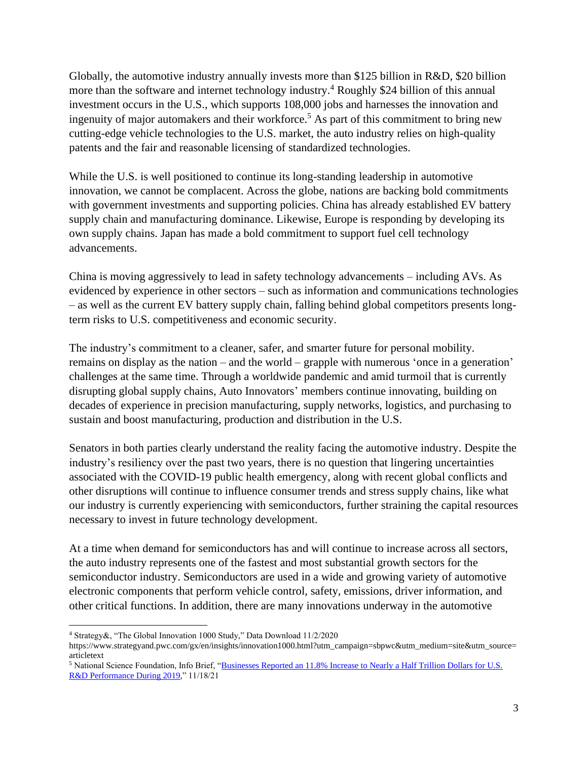Globally, the automotive industry annually invests more than \$125 billion in R&D, \$20 billion more than the software and internet technology industry.<sup>4</sup> Roughly \$24 billion of this annual investment occurs in the U.S., which supports 108,000 jobs and harnesses the innovation and ingenuity of major automakers and their workforce.<sup>5</sup> As part of this commitment to bring new cutting-edge vehicle technologies to the U.S. market, the auto industry relies on high-quality patents and the fair and reasonable licensing of standardized technologies.

While the U.S. is well positioned to continue its long-standing leadership in automotive innovation, we cannot be complacent. Across the globe, nations are backing bold commitments with government investments and supporting policies. China has already established EV battery supply chain and manufacturing dominance. Likewise, Europe is responding by developing its own supply chains. Japan has made a bold commitment to support fuel cell technology advancements.

China is moving aggressively to lead in safety technology advancements – including AVs. As evidenced by experience in other sectors – such as information and communications technologies – as well as the current EV battery supply chain, falling behind global competitors presents longterm risks to U.S. competitiveness and economic security.

The industry's commitment to a cleaner, safer, and smarter future for personal mobility. remains on display as the nation – and the world – grapple with numerous 'once in a generation' challenges at the same time. Through a worldwide pandemic and amid turmoil that is currently disrupting global supply chains, Auto Innovators' members continue innovating, building on decades of experience in precision manufacturing, supply networks, logistics, and purchasing to sustain and boost manufacturing, production and distribution in the U.S.

Senators in both parties clearly understand the reality facing the automotive industry. Despite the industry's resiliency over the past two years, there is no question that lingering uncertainties associated with the COVID-19 public health emergency, along with recent global conflicts and other disruptions will continue to influence consumer trends and stress supply chains, like what our industry is currently experiencing with semiconductors, further straining the capital resources necessary to invest in future technology development.

At a time when demand for semiconductors has and will continue to increase across all sectors, the auto industry represents one of the fastest and most substantial growth sectors for the semiconductor industry. Semiconductors are used in a wide and growing variety of automotive electronic components that perform vehicle control, safety, emissions, driver information, and other critical functions. In addition, there are many innovations underway in the automotive

<sup>4</sup> Strategy&, "The Global Innovation 1000 Study," Data Download 11/2/2020

https://www.strategyand.pwc.com/gx/en/insights/innovation1000.html?utm\_campaign=sbpwc&utm\_medium=site&utm\_source= articletext

<sup>5</sup> National Science Foundation, Info Brief, ["Businesses Reported an 11.8% Increase to Nearly a Half Trillion Dollars for U.S.](https://ncses.nsf.gov/pubs/nsf22303)  [R&D Performance During 2019,](https://ncses.nsf.gov/pubs/nsf22303)" 11/18/21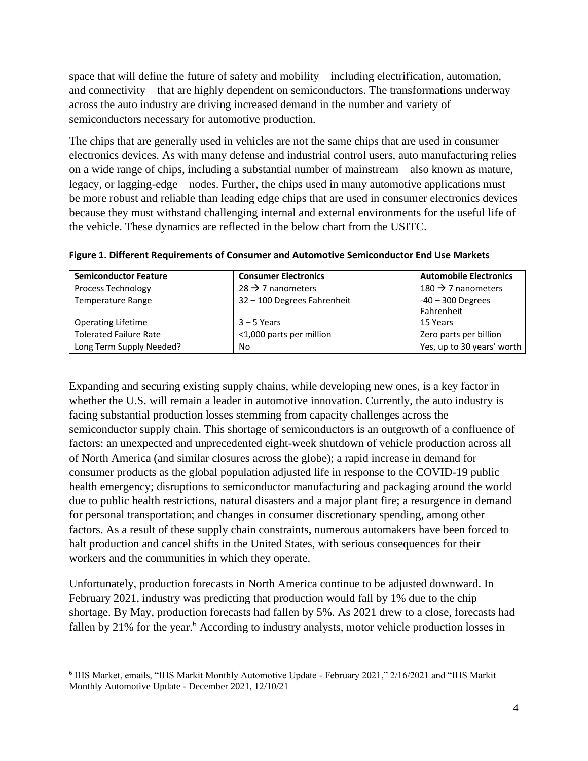space that will define the future of safety and mobility – including electrification, automation, and connectivity – that are highly dependent on semiconductors. The transformations underway across the auto industry are driving increased demand in the number and variety of semiconductors necessary for automotive production.

The chips that are generally used in vehicles are not the same chips that are used in consumer electronics devices. As with many defense and industrial control users, auto manufacturing relies on a wide range of chips, including a substantial number of mainstream – also known as mature, legacy, or lagging-edge – nodes. Further, the chips used in many automotive applications must be more robust and reliable than leading edge chips that are used in consumer electronics devices because they must withstand challenging internal and external environments for the useful life of the vehicle. These dynamics are reflected in the below chart from the USITC.

| <b>Semiconductor Feature</b>  | <b>Consumer Electronics</b>   | <b>Automobile Electronics</b>  |
|-------------------------------|-------------------------------|--------------------------------|
| <b>Process Technology</b>     | $28 \rightarrow 7$ nanometers | 180 $\rightarrow$ 7 nanometers |
| <b>Temperature Range</b>      | 32 - 100 Degrees Fahrenheit   | $-40 - 300$ Degrees            |
|                               |                               | Fahrenheit                     |
| <b>Operating Lifetime</b>     | $3 - 5$ Years                 | 15 Years                       |
| <b>Tolerated Failure Rate</b> | <1,000 parts per million      | Zero parts per billion         |
| Long Term Supply Needed?      | No                            | Yes, up to 30 years' worth     |

**Figure 1. Different Requirements of Consumer and Automotive Semiconductor End Use Markets**

Expanding and securing existing supply chains, while developing new ones, is a key factor in whether the U.S. will remain a leader in automotive innovation. Currently, the auto industry is facing substantial production losses stemming from capacity challenges across the semiconductor supply chain. This shortage of semiconductors is an outgrowth of a confluence of factors: an unexpected and unprecedented eight-week shutdown of vehicle production across all of North America (and similar closures across the globe); a rapid increase in demand for consumer products as the global population adjusted life in response to the COVID-19 public health emergency; disruptions to semiconductor manufacturing and packaging around the world due to public health restrictions, natural disasters and a major plant fire; a resurgence in demand for personal transportation; and changes in consumer discretionary spending, among other factors. As a result of these supply chain constraints, numerous automakers have been forced to halt production and cancel shifts in the United States, with serious consequences for their workers and the communities in which they operate.

Unfortunately, production forecasts in North America continue to be adjusted downward. In February 2021, industry was predicting that production would fall by 1% due to the chip shortage. By May, production forecasts had fallen by 5%. As 2021 drew to a close, forecasts had fallen by 21% for the year.<sup>6</sup> According to industry analysts, motor vehicle production losses in

<sup>6</sup> IHS Market, emails, "IHS Markit Monthly Automotive Update - February 2021," 2/16/2021 and "IHS Markit Monthly Automotive Update - December 2021, 12/10/21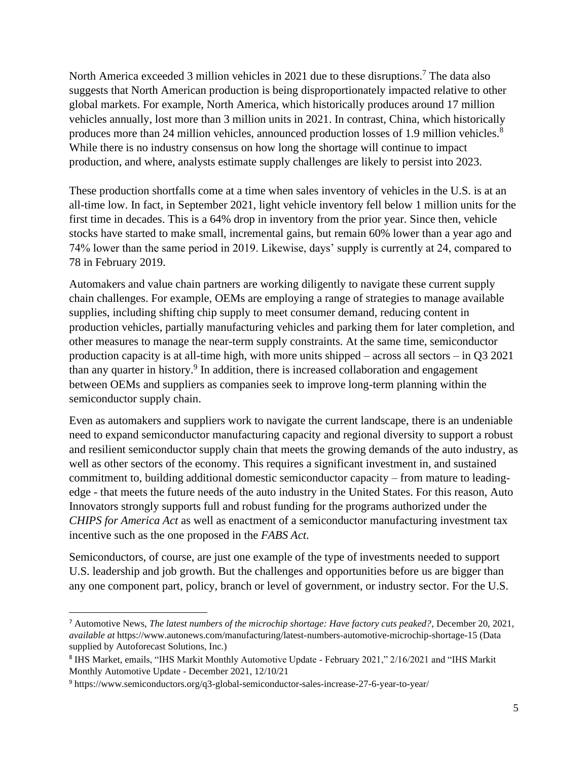North America exceeded 3 million vehicles in 2021 due to these disruptions.<sup>7</sup> The data also suggests that North American production is being disproportionately impacted relative to other global markets. For example, North America, which historically produces around 17 million vehicles annually, lost more than 3 million units in 2021. In contrast, China, which historically produces more than 24 million vehicles, announced production losses of 1.9 million vehicles.<sup>8</sup> While there is no industry consensus on how long the shortage will continue to impact production, and where, analysts estimate supply challenges are likely to persist into 2023.

These production shortfalls come at a time when sales inventory of vehicles in the U.S. is at an all-time low. In fact, in September 2021, light vehicle inventory fell below 1 million units for the first time in decades. This is a 64% drop in inventory from the prior year. Since then, vehicle stocks have started to make small, incremental gains, but remain 60% lower than a year ago and 74% lower than the same period in 2019. Likewise, days' supply is currently at 24, compared to 78 in February 2019.

Automakers and value chain partners are working diligently to navigate these current supply chain challenges. For example, OEMs are employing a range of strategies to manage available supplies, including shifting chip supply to meet consumer demand, reducing content in production vehicles, partially manufacturing vehicles and parking them for later completion, and other measures to manage the near-term supply constraints. At the same time, semiconductor production capacity is at all-time high, with more units shipped – across all sectors – in Q3 2021 than any quarter in history.<sup>9</sup> In addition, there is increased collaboration and engagement between OEMs and suppliers as companies seek to improve long-term planning within the semiconductor supply chain.

Even as automakers and suppliers work to navigate the current landscape, there is an undeniable need to expand semiconductor manufacturing capacity and regional diversity to support a robust and resilient semiconductor supply chain that meets the growing demands of the auto industry, as well as other sectors of the economy. This requires a significant investment in, and sustained commitment to, building additional domestic semiconductor capacity – from mature to leadingedge - that meets the future needs of the auto industry in the United States. For this reason, Auto Innovators strongly supports full and robust funding for the programs authorized under the *CHIPS for America Act* as well as enactment of a semiconductor manufacturing investment tax incentive such as the one proposed in the *FABS Act*.

Semiconductors, of course, are just one example of the type of investments needed to support U.S. leadership and job growth. But the challenges and opportunities before us are bigger than any one component part, policy, branch or level of government, or industry sector. For the U.S.

<sup>7</sup> Automotive News, *The latest numbers of the microchip shortage: Have factory cuts peaked?*, December 20, 2021, *available at* https://www.autonews.com/manufacturing/latest-numbers-automotive-microchip-shortage-15 (Data supplied by Autoforecast Solutions, Inc.)

<sup>8</sup> IHS Market, emails, "IHS Markit Monthly Automotive Update - February 2021," 2/16/2021 and "IHS Markit Monthly Automotive Update - December 2021, 12/10/21

<sup>9</sup> https://www.semiconductors.org/q3-global-semiconductor-sales-increase-27-6-year-to-year/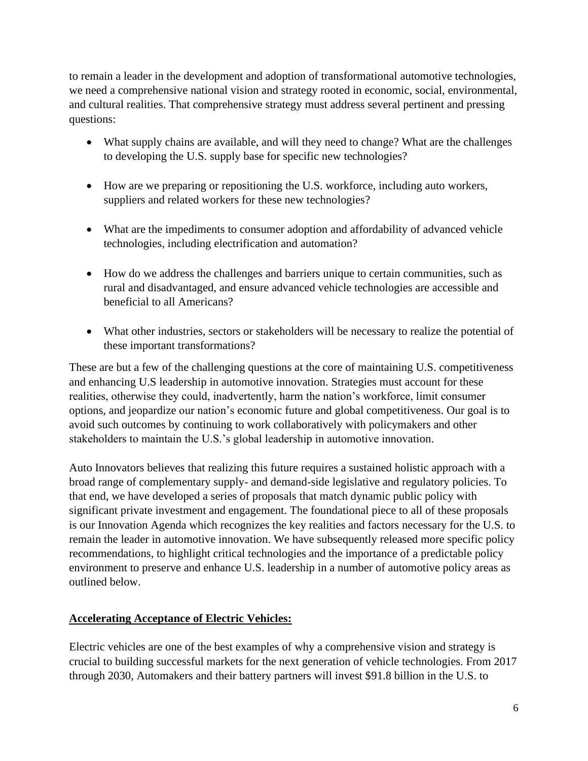to remain a leader in the development and adoption of transformational automotive technologies, we need a comprehensive national vision and strategy rooted in economic, social, environmental, and cultural realities. That comprehensive strategy must address several pertinent and pressing questions:

- What supply chains are available, and will they need to change? What are the challenges to developing the U.S. supply base for specific new technologies?
- How are we preparing or repositioning the U.S. workforce, including auto workers, suppliers and related workers for these new technologies?
- What are the impediments to consumer adoption and affordability of advanced vehicle technologies, including electrification and automation?
- How do we address the challenges and barriers unique to certain communities, such as rural and disadvantaged, and ensure advanced vehicle technologies are accessible and beneficial to all Americans?
- What other industries, sectors or stakeholders will be necessary to realize the potential of these important transformations?

These are but a few of the challenging questions at the core of maintaining U.S. competitiveness and enhancing U.S leadership in automotive innovation. Strategies must account for these realities, otherwise they could, inadvertently, harm the nation's workforce, limit consumer options, and jeopardize our nation's economic future and global competitiveness. Our goal is to avoid such outcomes by continuing to work collaboratively with policymakers and other stakeholders to maintain the U.S.'s global leadership in automotive innovation.

Auto Innovators believes that realizing this future requires a sustained holistic approach with a broad range of complementary supply- and demand-side legislative and regulatory policies. To that end, we have developed a series of proposals that match dynamic public policy with significant private investment and engagement. The foundational piece to all of these proposals is our Innovation Agenda which recognizes the key realities and factors necessary for the U.S. to remain the leader in automotive innovation. We have subsequently released more specific policy recommendations, to highlight critical technologies and the importance of a predictable policy environment to preserve and enhance U.S. leadership in a number of automotive policy areas as outlined below.

### **Accelerating Acceptance of Electric Vehicles:**

Electric vehicles are one of the best examples of why a comprehensive vision and strategy is crucial to building successful markets for the next generation of vehicle technologies. From 2017 through 2030, Automakers and their battery partners will invest \$91.8 billion in the U.S. to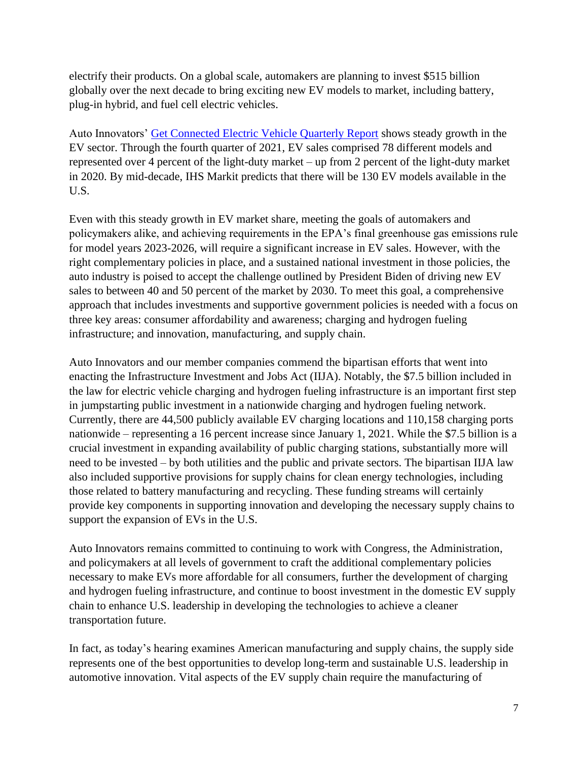electrify their products. On a global scale, automakers are planning to invest \$515 billion globally over the next decade to bring exciting new EV models to market, including battery, plug-in hybrid, and fuel cell electric vehicles.

Auto Innovators' [Get Connected Electric Vehicle Quarterly Report](https://www.autosinnovate.org/posts/papers-reports/Get%20Connected%20EV%20Quarterly%20Report%20Q4.pdf) shows steady growth in the EV sector. Through the fourth quarter of 2021, EV sales comprised 78 different models and represented over 4 percent of the light-duty market – up from 2 percent of the light-duty market in 2020. By mid-decade, IHS Markit predicts that there will be 130 EV models available in the U.S.

Even with this steady growth in EV market share, meeting the goals of automakers and policymakers alike, and achieving requirements in the EPA's final greenhouse gas emissions rule for model years 2023-2026, will require a significant increase in EV sales. However, with the right complementary policies in place, and a sustained national investment in those policies, the auto industry is poised to accept the challenge outlined by President Biden of driving new EV sales to between 40 and 50 percent of the market by 2030. To meet this goal, a comprehensive approach that includes investments and supportive government policies is needed with a focus on three key areas: consumer affordability and awareness; charging and hydrogen fueling infrastructure; and innovation, manufacturing, and supply chain.

Auto Innovators and our member companies commend the bipartisan efforts that went into enacting the Infrastructure Investment and Jobs Act (IIJA). Notably, the \$7.5 billion included in the law for electric vehicle charging and hydrogen fueling infrastructure is an important first step in jumpstarting public investment in a nationwide charging and hydrogen fueling network. Currently, there are 44,500 publicly available EV charging locations and 110,158 charging ports nationwide – representing a 16 percent increase since January 1, 2021. While the \$7.5 billion is a crucial investment in expanding availability of public charging stations, substantially more will need to be invested – by both utilities and the public and private sectors. The bipartisan IIJA law also included supportive provisions for supply chains for clean energy technologies, including those related to battery manufacturing and recycling. These funding streams will certainly provide key components in supporting innovation and developing the necessary supply chains to support the expansion of EVs in the U.S.

Auto Innovators remains committed to continuing to work with Congress, the Administration, and policymakers at all levels of government to craft the additional complementary policies necessary to make EVs more affordable for all consumers, further the development of charging and hydrogen fueling infrastructure, and continue to boost investment in the domestic EV supply chain to enhance U.S. leadership in developing the technologies to achieve a cleaner transportation future.

In fact, as today's hearing examines American manufacturing and supply chains, the supply side represents one of the best opportunities to develop long-term and sustainable U.S. leadership in automotive innovation. Vital aspects of the EV supply chain require the manufacturing of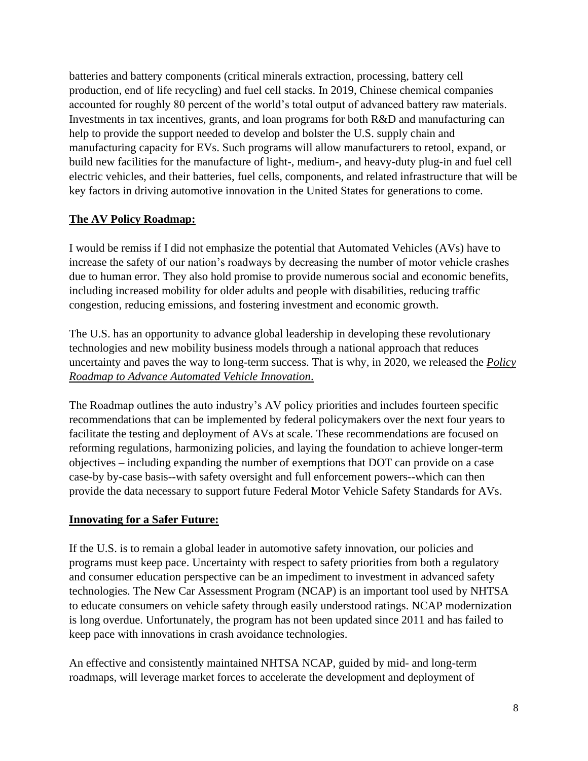batteries and battery components (critical minerals extraction, processing, battery cell production, end of life recycling) and fuel cell stacks. In 2019, Chinese chemical companies accounted for roughly 80 percent of the world's total output of advanced battery raw materials. Investments in tax incentives, grants, and loan programs for both R&D and manufacturing can help to provide the support needed to develop and bolster the U.S. supply chain and manufacturing capacity for EVs. Such programs will allow manufacturers to retool, expand, or build new facilities for the manufacture of light-, medium-, and heavy-duty plug-in and fuel cell electric vehicles, and their batteries, fuel cells, components, and related infrastructure that will be key factors in driving automotive innovation in the United States for generations to come.

### **The AV Policy Roadmap:**

I would be remiss if I did not emphasize the potential that Automated Vehicles (AVs) have to increase the safety of our nation's roadways by decreasing the number of motor vehicle crashes due to human error. They also hold promise to provide numerous social and economic benefits, including increased mobility for older adults and people with disabilities, reducing traffic congestion, reducing emissions, and fostering investment and economic growth.

The U.S. has an opportunity to advance global leadership in developing these revolutionary technologies and new mobility business models through a national approach that reduces uncertainty and paves the way to long-term success. That is why, in 2020, we released the *Policy Roadmap to Advance Automated Vehicle Innovation*.

The Roadmap outlines the auto industry's AV policy priorities and includes fourteen specific recommendations that can be implemented by federal policymakers over the next four years to facilitate the testing and deployment of AVs at scale. These recommendations are focused on reforming regulations, harmonizing policies, and laying the foundation to achieve longer-term objectives – including expanding the number of exemptions that DOT can provide on a case case-by by-case basis--with safety oversight and full enforcement powers--which can then provide the data necessary to support future Federal Motor Vehicle Safety Standards for AVs.

### **Innovating for a Safer Future:**

If the U.S. is to remain a global leader in automotive safety innovation, our policies and programs must keep pace. Uncertainty with respect to safety priorities from both a regulatory and consumer education perspective can be an impediment to investment in advanced safety technologies. The New Car Assessment Program (NCAP) is an important tool used by NHTSA to educate consumers on vehicle safety through easily understood ratings. NCAP modernization is long overdue. Unfortunately, the program has not been updated since 2011 and has failed to keep pace with innovations in crash avoidance technologies.

An effective and consistently maintained NHTSA NCAP, guided by mid- and long-term roadmaps, will leverage market forces to accelerate the development and deployment of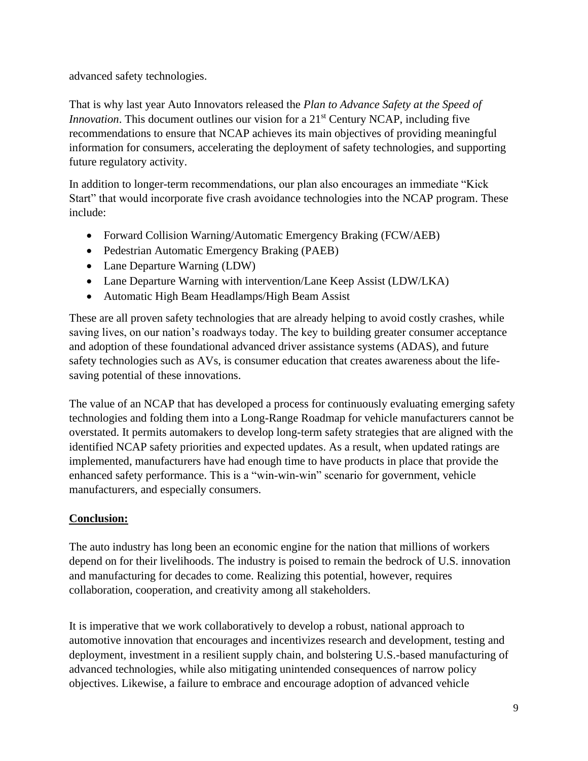advanced safety technologies.

That is why last year Auto Innovators released the *Plan to Advance Safety at the Speed of Innovation*. This document outlines our vision for a 21<sup>st</sup> Century NCAP, including five recommendations to ensure that NCAP achieves its main objectives of providing meaningful information for consumers, accelerating the deployment of safety technologies, and supporting future regulatory activity.

In addition to longer-term recommendations, our plan also encourages an immediate "Kick Start" that would incorporate five crash avoidance technologies into the NCAP program. These include:

- Forward Collision Warning/Automatic Emergency Braking (FCW/AEB)
- Pedestrian Automatic Emergency Braking (PAEB)
- Lane Departure Warning (LDW)
- Lane Departure Warning with intervention/Lane Keep Assist (LDW/LKA)
- Automatic High Beam Headlamps/High Beam Assist

These are all proven safety technologies that are already helping to avoid costly crashes, while saving lives, on our nation's roadways today. The key to building greater consumer acceptance and adoption of these foundational advanced driver assistance systems (ADAS), and future safety technologies such as AVs, is consumer education that creates awareness about the lifesaving potential of these innovations.

The value of an NCAP that has developed a process for continuously evaluating emerging safety technologies and folding them into a Long-Range Roadmap for vehicle manufacturers cannot be overstated. It permits automakers to develop long-term safety strategies that are aligned with the identified NCAP safety priorities and expected updates. As a result, when updated ratings are implemented, manufacturers have had enough time to have products in place that provide the enhanced safety performance. This is a "win-win-win" scenario for government, vehicle manufacturers, and especially consumers.

### **Conclusion:**

The auto industry has long been an economic engine for the nation that millions of workers depend on for their livelihoods. The industry is poised to remain the bedrock of U.S. innovation and manufacturing for decades to come. Realizing this potential, however, requires collaboration, cooperation, and creativity among all stakeholders.

It is imperative that we work collaboratively to develop a robust, national approach to automotive innovation that encourages and incentivizes research and development, testing and deployment, investment in a resilient supply chain, and bolstering U.S.-based manufacturing of advanced technologies, while also mitigating unintended consequences of narrow policy objectives. Likewise, a failure to embrace and encourage adoption of advanced vehicle